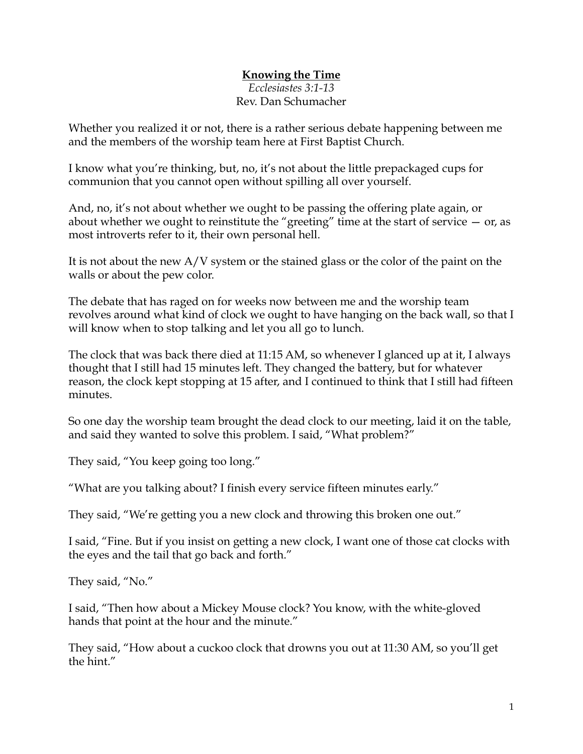## **Knowing the Time**

*Ecclesiastes 3:1-13* Rev. Dan Schumacher

Whether you realized it or not, there is a rather serious debate happening between me and the members of the worship team here at First Baptist Church.

I know what you're thinking, but, no, it's not about the little prepackaged cups for communion that you cannot open without spilling all over yourself.

And, no, it's not about whether we ought to be passing the offering plate again, or about whether we ought to reinstitute the "greeting" time at the start of service  $-$  or, as most introverts refer to it, their own personal hell.

It is not about the new A/V system or the stained glass or the color of the paint on the walls or about the pew color.

The debate that has raged on for weeks now between me and the worship team revolves around what kind of clock we ought to have hanging on the back wall, so that I will know when to stop talking and let you all go to lunch.

The clock that was back there died at 11:15 AM, so whenever I glanced up at it, I always thought that I still had 15 minutes left. They changed the battery, but for whatever reason, the clock kept stopping at 15 after, and I continued to think that I still had fifteen minutes.

So one day the worship team brought the dead clock to our meeting, laid it on the table, and said they wanted to solve this problem. I said, "What problem?"

They said, "You keep going too long."

"What are you talking about? I finish every service fifteen minutes early."

They said, "We're getting you a new clock and throwing this broken one out."

I said, "Fine. But if you insist on getting a new clock, I want one of those cat clocks with the eyes and the tail that go back and forth."

They said, "No."

I said, "Then how about a Mickey Mouse clock? You know, with the white-gloved hands that point at the hour and the minute."

They said, "How about a cuckoo clock that drowns you out at 11:30 AM, so you'll get the hint."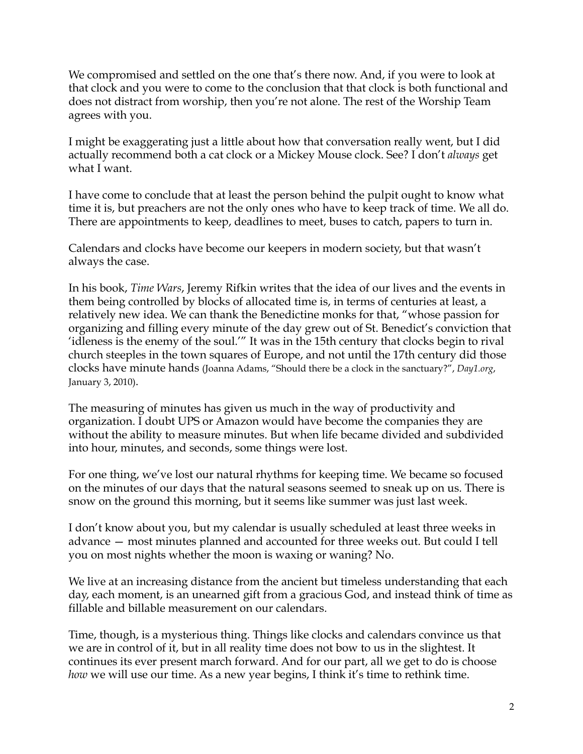We compromised and settled on the one that's there now. And, if you were to look at that clock and you were to come to the conclusion that that clock is both functional and does not distract from worship, then you're not alone. The rest of the Worship Team agrees with you.

I might be exaggerating just a little about how that conversation really went, but I did actually recommend both a cat clock or a Mickey Mouse clock. See? I don't *always* get what I want.

I have come to conclude that at least the person behind the pulpit ought to know what time it is, but preachers are not the only ones who have to keep track of time. We all do. There are appointments to keep, deadlines to meet, buses to catch, papers to turn in.

Calendars and clocks have become our keepers in modern society, but that wasn't always the case.

In his book, *Time Wars*, Jeremy Rifkin writes that the idea of our lives and the events in them being controlled by blocks of allocated time is, in terms of centuries at least, a relatively new idea. We can thank the Benedictine monks for that, "whose passion for organizing and filling every minute of the day grew out of St. Benedict's conviction that 'idleness is the enemy of the soul.'" It was in the 15th century that clocks begin to rival church steeples in the town squares of Europe, and not until the 17th century did those clocks have minute hands (Joanna Adams, "Should there be a clock in the sanctuary?", *Day1.org*, January 3, 2010).

The measuring of minutes has given us much in the way of productivity and organization. I doubt UPS or Amazon would have become the companies they are without the ability to measure minutes. But when life became divided and subdivided into hour, minutes, and seconds, some things were lost.

For one thing, we've lost our natural rhythms for keeping time. We became so focused on the minutes of our days that the natural seasons seemed to sneak up on us. There is snow on the ground this morning, but it seems like summer was just last week.

I don't know about you, but my calendar is usually scheduled at least three weeks in advance — most minutes planned and accounted for three weeks out. But could I tell you on most nights whether the moon is waxing or waning? No.

We live at an increasing distance from the ancient but timeless understanding that each day, each moment, is an unearned gift from a gracious God, and instead think of time as fillable and billable measurement on our calendars.

Time, though, is a mysterious thing. Things like clocks and calendars convince us that we are in control of it, but in all reality time does not bow to us in the slightest. It continues its ever present march forward. And for our part, all we get to do is choose *how* we will use our time. As a new year begins, I think it's time to rethink time.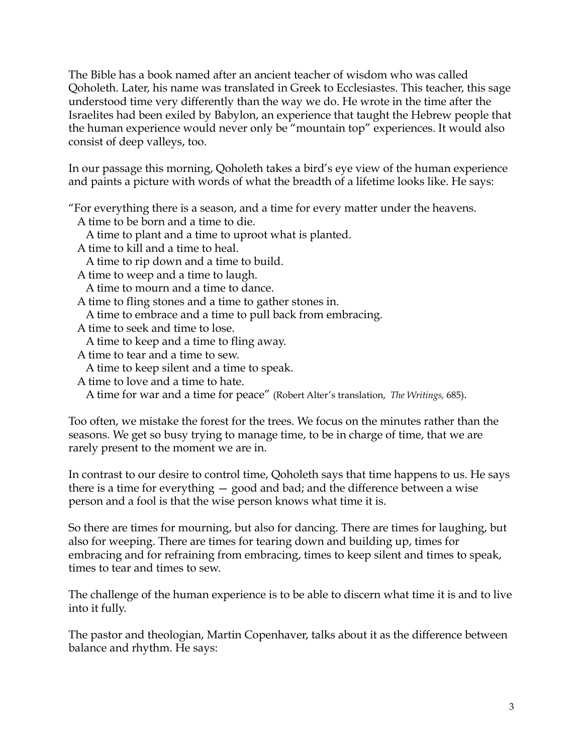The Bible has a book named after an ancient teacher of wisdom who was called Qoholeth. Later, his name was translated in Greek to Ecclesiastes. This teacher, this sage understood time very differently than the way we do. He wrote in the time after the Israelites had been exiled by Babylon, an experience that taught the Hebrew people that the human experience would never only be "mountain top" experiences. It would also consist of deep valleys, too.

In our passage this morning, Qoholeth takes a bird's eye view of the human experience and paints a picture with words of what the breadth of a lifetime looks like. He says:

"For everything there is a season, and a time for every matter under the heavens.

A time to be born and a time to die.

A time to plant and a time to uproot what is planted.

A time to kill and a time to heal.

A time to rip down and a time to build.

A time to weep and a time to laugh.

A time to mourn and a time to dance.

A time to fling stones and a time to gather stones in.

A time to embrace and a time to pull back from embracing.

A time to seek and time to lose.

A time to keep and a time to fling away.

A time to tear and a time to sew.

A time to keep silent and a time to speak.

A time to love and a time to hate.

A time for war and a time for peace" (Robert Alter's translation, *The Writings,* 685).

Too often, we mistake the forest for the trees. We focus on the minutes rather than the seasons. We get so busy trying to manage time, to be in charge of time, that we are rarely present to the moment we are in.

In contrast to our desire to control time, Qoholeth says that time happens to us. He says there is a time for everything — good and bad; and the difference between a wise person and a fool is that the wise person knows what time it is.

So there are times for mourning, but also for dancing. There are times for laughing, but also for weeping. There are times for tearing down and building up, times for embracing and for refraining from embracing, times to keep silent and times to speak, times to tear and times to sew.

The challenge of the human experience is to be able to discern what time it is and to live into it fully.

The pastor and theologian, Martin Copenhaver, talks about it as the difference between balance and rhythm. He says: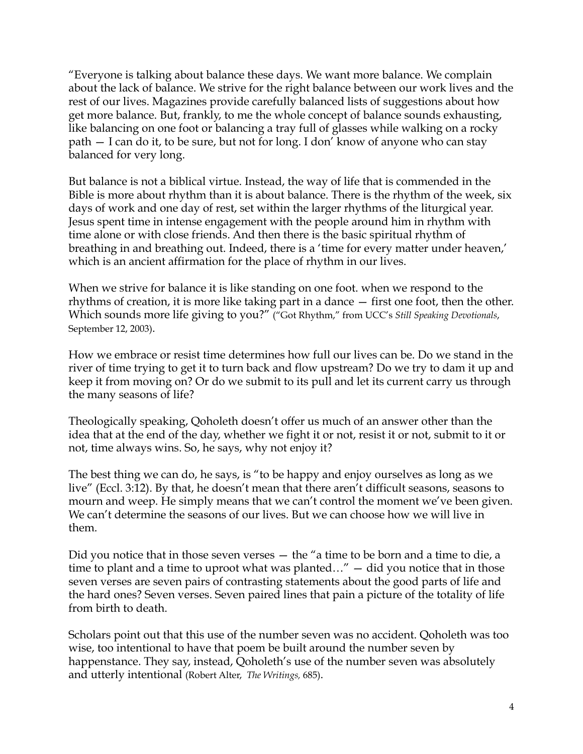"Everyone is talking about balance these days. We want more balance. We complain about the lack of balance. We strive for the right balance between our work lives and the rest of our lives. Magazines provide carefully balanced lists of suggestions about how get more balance. But, frankly, to me the whole concept of balance sounds exhausting, like balancing on one foot or balancing a tray full of glasses while walking on a rocky path — I can do it, to be sure, but not for long. I don' know of anyone who can stay balanced for very long.

But balance is not a biblical virtue. Instead, the way of life that is commended in the Bible is more about rhythm than it is about balance. There is the rhythm of the week, six days of work and one day of rest, set within the larger rhythms of the liturgical year. Jesus spent time in intense engagement with the people around him in rhythm with time alone or with close friends. And then there is the basic spiritual rhythm of breathing in and breathing out. Indeed, there is a 'time for every matter under heaven,' which is an ancient affirmation for the place of rhythm in our lives.

When we strive for balance it is like standing on one foot. when we respond to the rhythms of creation, it is more like taking part in a dance — first one foot, then the other. Which sounds more life giving to you?" ("Got Rhythm," from UCC's *Still Speaking Devotionals*, September 12, 2003).

How we embrace or resist time determines how full our lives can be. Do we stand in the river of time trying to get it to turn back and flow upstream? Do we try to dam it up and keep it from moving on? Or do we submit to its pull and let its current carry us through the many seasons of life?

Theologically speaking, Qoholeth doesn't offer us much of an answer other than the idea that at the end of the day, whether we fight it or not, resist it or not, submit to it or not, time always wins. So, he says, why not enjoy it?

The best thing we can do, he says, is "to be happy and enjoy ourselves as long as we live" (Eccl. 3:12). By that, he doesn't mean that there aren't difficult seasons, seasons to mourn and weep. He simply means that we can't control the moment we've been given. We can't determine the seasons of our lives. But we can choose how we will live in them.

Did you notice that in those seven verses — the "a time to be born and a time to die, a time to plant and a time to uproot what was planted…" — did you notice that in those seven verses are seven pairs of contrasting statements about the good parts of life and the hard ones? Seven verses. Seven paired lines that pain a picture of the totality of life from birth to death.

Scholars point out that this use of the number seven was no accident. Qoholeth was too wise, too intentional to have that poem be built around the number seven by happenstance. They say, instead, Qoholeth's use of the number seven was absolutely and utterly intentional (Robert Alter, *The Writings,* 685).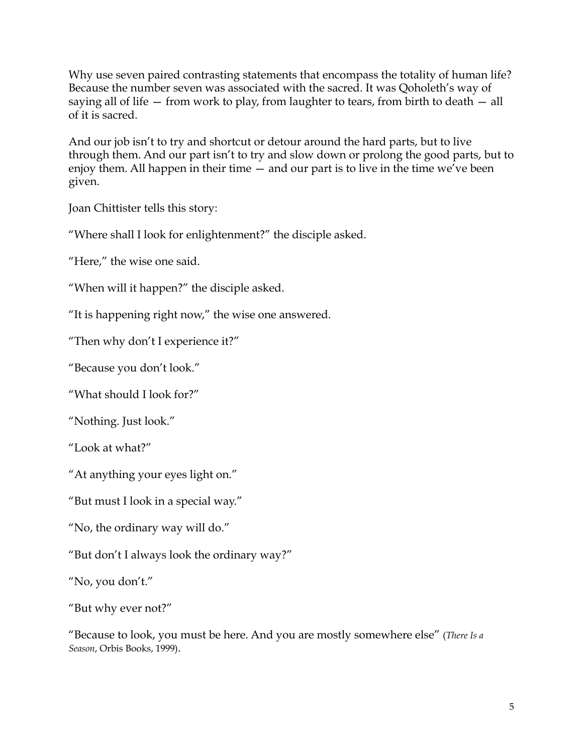Why use seven paired contrasting statements that encompass the totality of human life? Because the number seven was associated with the sacred. It was Qoholeth's way of saying all of life — from work to play, from laughter to tears, from birth to death — all of it is sacred.

And our job isn't to try and shortcut or detour around the hard parts, but to live through them. And our part isn't to try and slow down or prolong the good parts, but to enjoy them. All happen in their time — and our part is to live in the time we've been given.

Joan Chittister tells this story:

"Where shall I look for enlightenment?" the disciple asked.

"Here," the wise one said.

"When will it happen?" the disciple asked.

"It is happening right now," the wise one answered.

"Then why don't I experience it?"

"Because you don't look."

"What should I look for?"

"Nothing. Just look."

"Look at what?"

"At anything your eyes light on."

"But must I look in a special way."

"No, the ordinary way will do."

"But don't I always look the ordinary way?"

"No, you don't."

"But why ever not?"

"Because to look, you must be here. And you are mostly somewhere else" (*There Is a Season*, Orbis Books, 1999).